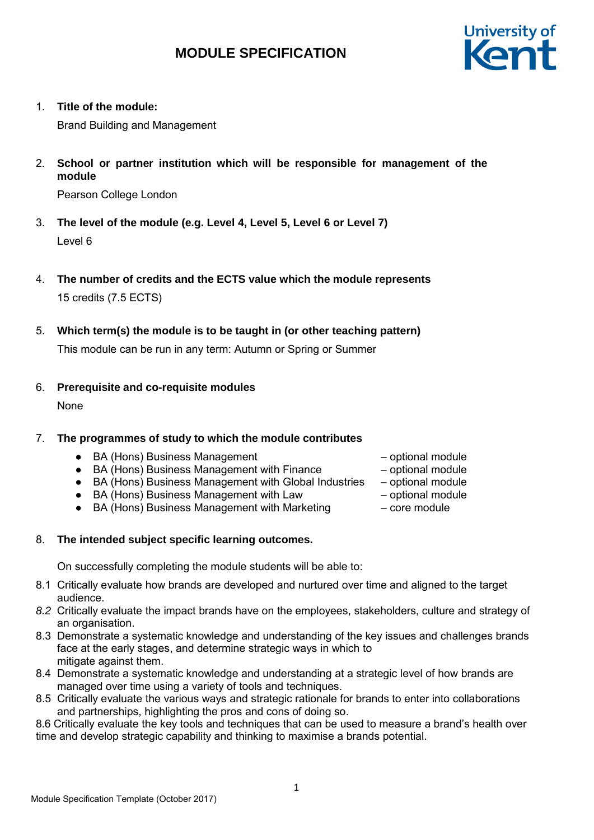

1. **Title of the module:**

Brand Building and Management

2. **School or partner institution which will be responsible for management of the module**

Pearson College London

- 3. **The level of the module (e.g. Level 4, Level 5, Level 6 or Level 7)** Level 6
- 4. **The number of credits and the ECTS value which the module represents** 15 credits (7.5 ECTS)
- 5. **Which term(s) the module is to be taught in (or other teaching pattern)**

This module can be run in any term: Autumn or Spring or Summer

## 6. **Prerequisite and co-requisite modules**

None

## 7. **The programmes of study to which the module contributes**

- BA (Hons) Business Management – optional module
- BA (Hons) Business Management with Finance optional module
- BA (Hons) Business Management with Global Industries optional module
- BA (Hons) Business Management with Law optional module
- BA (Hons) Business Management with Marketing core module
- 8. **The intended subject specific learning outcomes.**

On successfully completing the module students will be able to:

- 8.1 Critically evaluate how brands are developed and nurtured over time and aligned to the target audience.
- *8.2* Critically evaluate the impact brands have on the employees, stakeholders, culture and strategy of an organisation.
- 8.3 Demonstrate a systematic knowledge and understanding of the key issues and challenges brands face at the early stages, and determine strategic ways in which to mitigate against them.
- 8.4 Demonstrate a systematic knowledge and understanding at a strategic level of how brands are managed over time using a variety of tools and techniques.
- 8.5 Critically evaluate the various ways and strategic rationale for brands to enter into collaborations and partnerships, highlighting the pros and cons of doing so.

8.6 Critically evaluate the key tools and techniques that can be used to measure a brand's health over time and develop strategic capability and thinking to maximise a brands potential.

- 
- 
- 
- 
-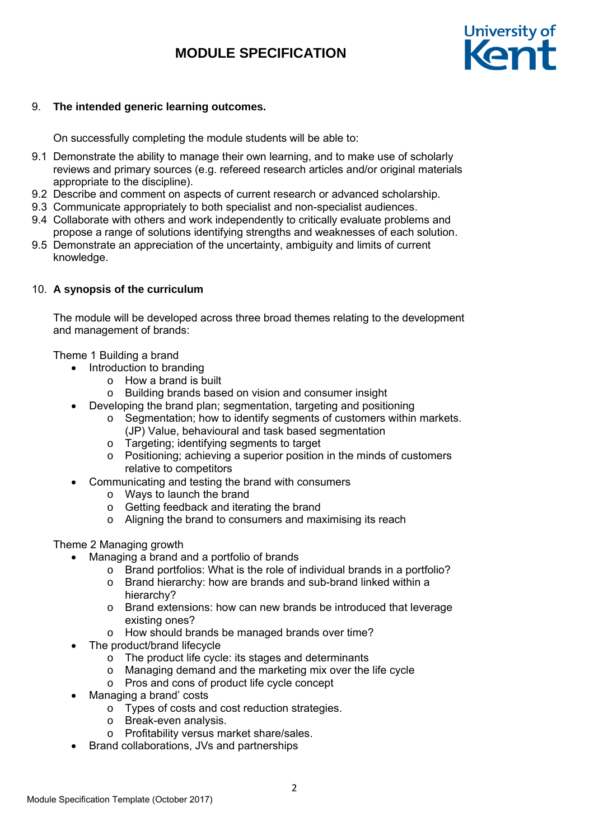

### 9. **The intended generic learning outcomes.**

On successfully completing the module students will be able to:

- 9.1 Demonstrate the ability to manage their own learning, and to make use of scholarly reviews and primary sources (e.g. refereed research articles and/or original materials appropriate to the discipline).
- 9.2 Describe and comment on aspects of current research or advanced scholarship.
- 9.3 Communicate appropriately to both specialist and non-specialist audiences.
- 9.4 Collaborate with others and work independently to critically evaluate problems and propose a range of solutions identifying strengths and weaknesses of each solution.
- 9.5 Demonstrate an appreciation of the uncertainty, ambiguity and limits of current knowledge.

#### 10. **A synopsis of the curriculum**

The module will be developed across three broad themes relating to the development and management of brands:

Theme 1 Building a brand

- Introduction to branding
	- o How a brand is built
	- o Building brands based on vision and consumer insight
- Developing the brand plan; segmentation, targeting and positioning
	- o Segmentation; how to identify segments of customers within markets. (JP) Value, behavioural and task based segmentation
	- o Targeting; identifying segments to target
	- o Positioning; achieving a superior position in the minds of customers relative to competitors
- Communicating and testing the brand with consumers
	- o Ways to launch the brand
	- o Getting feedback and iterating the brand
	- o Aligning the brand to consumers and maximising its reach

Theme 2 Managing growth

- Managing a brand and a portfolio of brands
	- o Brand portfolios: What is the role of individual brands in a portfolio?
	- o Brand hierarchy: how are brands and sub-brand linked within a hierarchy?
	- o Brand extensions: how can new brands be introduced that leverage existing ones?
	- o How should brands be managed brands over time?
- The product/brand lifecycle
	- o The product life cycle: its stages and determinants
	- o Managing demand and the marketing mix over the life cycle
	- o Pros and cons of product life cycle concept
- Managing a brand' costs
	- o Types of costs and cost reduction strategies.
	- o Break-even analysis.
	- o Profitability versus market share/sales.
- Brand collaborations, JVs and partnerships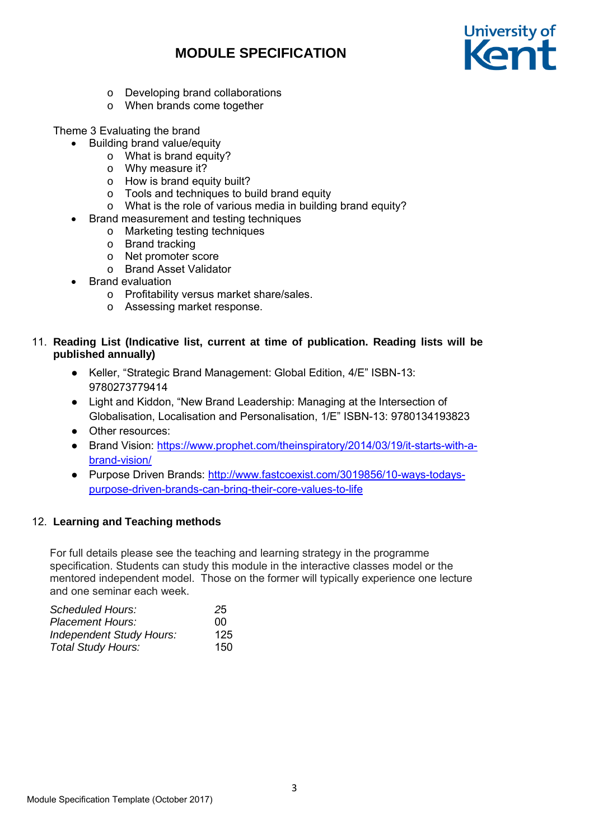

- o Developing brand collaborations
- o When brands come together

Theme 3 Evaluating the brand

- Building brand value/equity
	- o What is brand equity?
	- o Why measure it?
	- o How is brand equity built?
	- o Tools and techniques to build brand equity
	- o What is the role of various media in building brand equity?
	- Brand measurement and testing techniques
		- o Marketing testing techniques
		- o Brand tracking
		- o Net promoter score
		- o Brand Asset Validator
- Brand evaluation
	- o Profitability versus market share/sales.
	- o Assessing market response.

## 11. **Reading List (Indicative list, current at time of publication. Reading lists will be published annually)**

- Keller, "Strategic Brand Management: Global Edition, 4/E" ISBN-13: 9780273779414
- Light and Kiddon, "New Brand Leadership: Managing at the Intersection of Globalisation, Localisation and Personalisation, 1/E" ISBN-13: 9780134193823
- Other resources:
- Brand Vision: https://www.prophet.com/theinspiratory/2014/03/19/it-starts-with-abrand-vision/
- Purpose Driven Brands: http://www.fastcoexist.com/3019856/10-ways-todayspurpose-driven-brands-can-bring-their-core-values-to-life

## 12. **Learning and Teaching methods**

For full details please see the teaching and learning strategy in the programme specification. Students can study this module in the interactive classes model or the mentored independent model. Those on the former will typically experience one lecture and one seminar each week.

| Scheduled Hours:                | 25  |
|---------------------------------|-----|
| Placement Hours:                | nn  |
| <b>Independent Study Hours:</b> | 125 |
| <b>Total Study Hours:</b>       | 150 |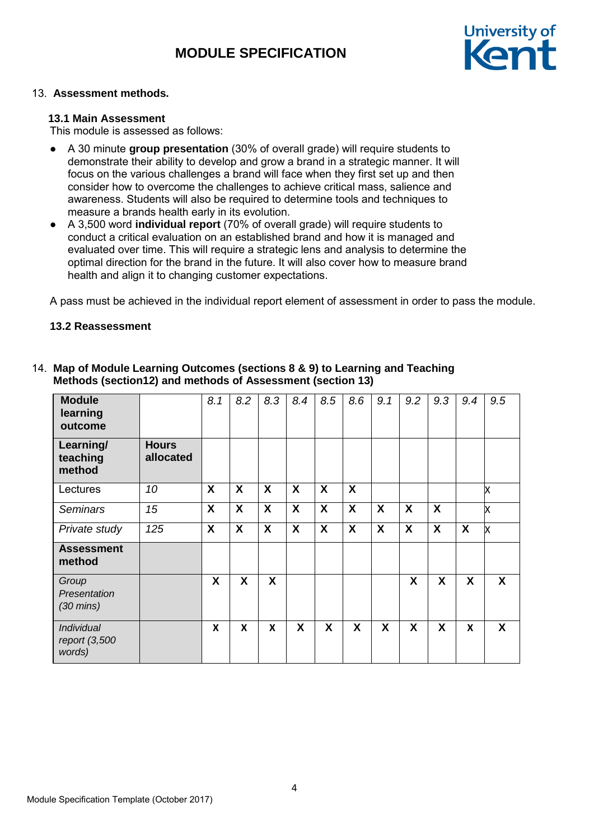

## 13. **Assessment methods.**

#### **13.1 Main Assessment**

This module is assessed as follows:

- A 30 minute **group presentation** (30% of overall grade) will require students to demonstrate their ability to develop and grow a brand in a strategic manner. It will focus on the various challenges a brand will face when they first set up and then consider how to overcome the challenges to achieve critical mass, salience and awareness. Students will also be required to determine tools and techniques to measure a brands health early in its evolution.
- A 3,500 word **individual report** (70% of overall grade) will require students to conduct a critical evaluation on an established brand and how it is managed and evaluated over time. This will require a strategic lens and analysis to determine the optimal direction for the brand in the future. It will also cover how to measure brand health and align it to changing customer expectations.

A pass must be achieved in the individual report element of assessment in order to pass the module.

#### **13.2 Reassessment**

| <b>Module</b><br>learning<br>outcome         |                           | 8.1 | 8.2                     | 8.3                       | 8.4              | 8.5              | 8.6                       | 9.1 | 9.2                       | 9.3              | 9.4              | 9.5          |
|----------------------------------------------|---------------------------|-----|-------------------------|---------------------------|------------------|------------------|---------------------------|-----|---------------------------|------------------|------------------|--------------|
| Learning/<br>teaching<br>method              | <b>Hours</b><br>allocated |     |                         |                           |                  |                  |                           |     |                           |                  |                  |              |
| Lectures                                     | 10                        | X   | X                       | X                         | X                | X                | $\boldsymbol{\mathsf{X}}$ |     |                           |                  |                  | X            |
| <b>Seminars</b>                              | 15                        | X   | $\overline{\mathbf{x}}$ | X                         | $\boldsymbol{X}$ | $\boldsymbol{X}$ | $\boldsymbol{X}$          | X   | $\boldsymbol{\mathsf{X}}$ | $\boldsymbol{X}$ |                  | X            |
| Private study                                | 125                       | X   | $\boldsymbol{X}$        | $\boldsymbol{X}$          | $\boldsymbol{X}$ | $\boldsymbol{X}$ | $\boldsymbol{X}$          | X   | X                         | X                | $\boldsymbol{X}$ | X            |
| <b>Assessment</b><br>method                  |                           |     |                         |                           |                  |                  |                           |     |                           |                  |                  |              |
| Group<br>Presentation<br>$(30 \text{ mins})$ |                           | X   | X                       | X                         |                  |                  |                           |     | X                         | X                | X                | $\mathsf{X}$ |
| Individual<br>report (3,500<br>words)        |                           | X   | X                       | $\boldsymbol{\mathsf{x}}$ | X                | X                | X                         | X   | X                         | X                | X                | X            |

#### 14. **Map of Module Learning Outcomes (sections 8 & 9) to Learning and Teaching Methods (section12) and methods of Assessment (section 13)**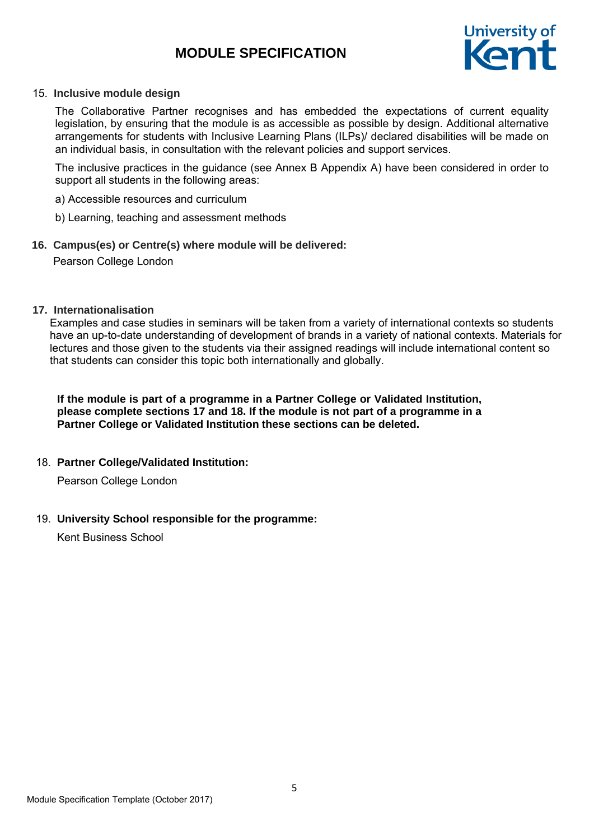

#### 15. **Inclusive module design**

The Collaborative Partner recognises and has embedded the expectations of current equality legislation, by ensuring that the module is as accessible as possible by design. Additional alternative arrangements for students with Inclusive Learning Plans (ILPs)/ declared disabilities will be made on an individual basis, in consultation with the relevant policies and support services.

The inclusive practices in the guidance (see Annex B Appendix A) have been considered in order to support all students in the following areas:

- a) Accessible resources and curriculum
- b) Learning, teaching and assessment methods

#### **16. Campus(es) or Centre(s) where module will be delivered:**

Pearson College London

#### **17. Internationalisation**

Examples and case studies in seminars will be taken from a variety of international contexts so students have an up-to-date understanding of development of brands in a variety of national contexts. Materials for lectures and those given to the students via their assigned readings will include international content so that students can consider this topic both internationally and globally.

**If the module is part of a programme in a Partner College or Validated Institution, please complete sections 17 and 18. If the module is not part of a programme in a Partner College or Validated Institution these sections can be deleted.**

## 18. **Partner College/Validated Institution:**

Pearson College London

## 19. **University School responsible for the programme:**

Kent Business School